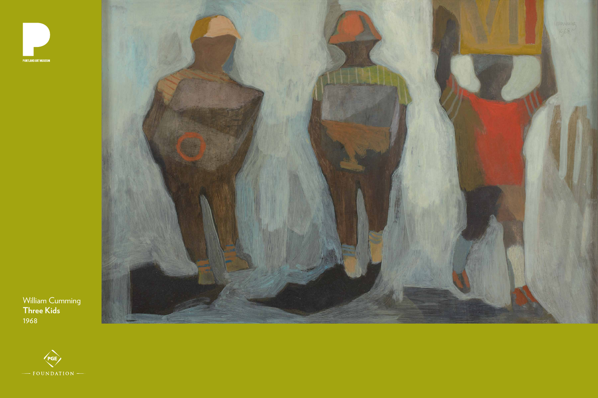

**PORTLAND ART MUSEUM** 



## William Cumming **Three Kids**  1968